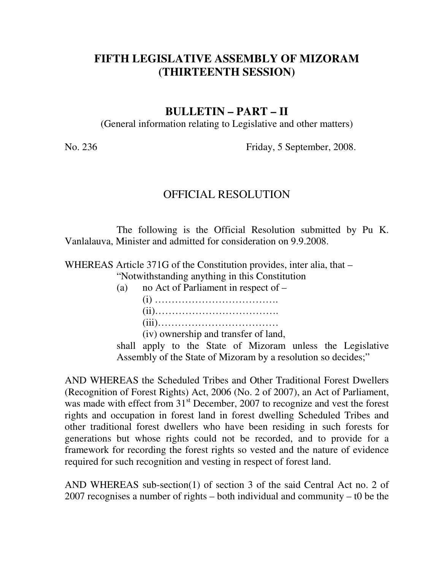# **FIFTH LEGISLATIVE ASSEMBLY OF MIZORAM (THIRTEENTH SESSION)**

#### **BULLETIN – PART – II**

(General information relating to Legislative and other matters)

No. 236 Friday, 5 September, 2008.

#### OFFICIAL RESOLUTION

 The following is the Official Resolution submitted by Pu K. Vanlalauva, Minister and admitted for consideration on 9.9.2008.

WHEREAS Article 371G of the Constitution provides, inter alia, that –

"Notwithstanding anything in this Constitution

 (a) no Act of Parliament in respect of – (i) ………………………………. (ii)………………………………. (iii)……………………………… (iv) ownership and transfer of land,

shall apply to the State of Mizoram unless the Legislative Assembly of the State of Mizoram by a resolution so decides;"

AND WHEREAS the Scheduled Tribes and Other Traditional Forest Dwellers (Recognition of Forest Rights) Act, 2006 (No. 2 of 2007), an Act of Parliament, was made with effect from  $31<sup>st</sup>$  December, 2007 to recognize and vest the forest rights and occupation in forest land in forest dwelling Scheduled Tribes and other traditional forest dwellers who have been residing in such forests for generations but whose rights could not be recorded, and to provide for a framework for recording the forest rights so vested and the nature of evidence required for such recognition and vesting in respect of forest land.

AND WHEREAS sub-section(1) of section 3 of the said Central Act no. 2 of 2007 recognises a number of rights – both individual and community – t0 be the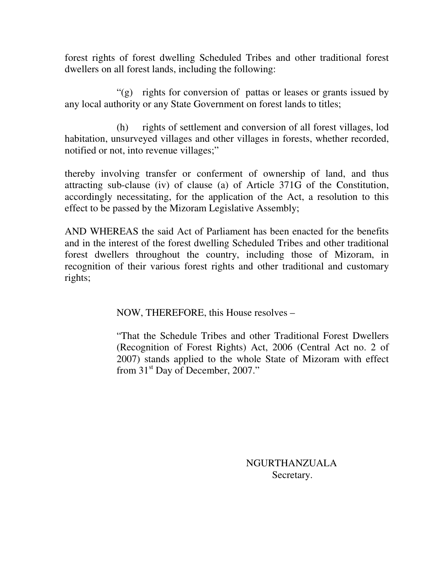forest rights of forest dwelling Scheduled Tribes and other traditional forest dwellers on all forest lands, including the following:

 "(g) rights for conversion of pattas or leases or grants issued by any local authority or any State Government on forest lands to titles;

 (h) rights of settlement and conversion of all forest villages, lod habitation, unsurveyed villages and other villages in forests, whether recorded, notified or not, into revenue villages;"

thereby involving transfer or conferment of ownership of land, and thus attracting sub-clause (iv) of clause (a) of Article 371G of the Constitution, accordingly necessitating, for the application of the Act, a resolution to this effect to be passed by the Mizoram Legislative Assembly;

AND WHEREAS the said Act of Parliament has been enacted for the benefits and in the interest of the forest dwelling Scheduled Tribes and other traditional forest dwellers throughout the country, including those of Mizoram, in recognition of their various forest rights and other traditional and customary rights;

NOW, THEREFORE, this House resolves –

"That the Schedule Tribes and other Traditional Forest Dwellers (Recognition of Forest Rights) Act, 2006 (Central Act no. 2 of 2007) stands applied to the whole State of Mizoram with effect from 31<sup>st</sup> Day of December, 2007."

> NGURTHANZUALA Secretary.